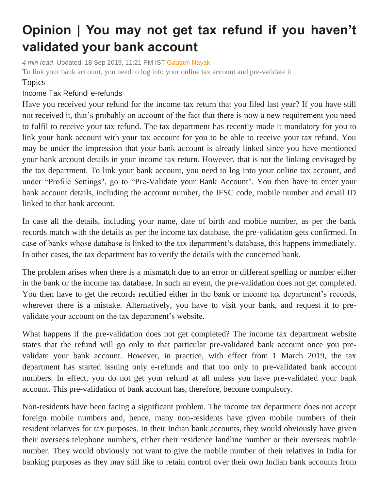## **Opinion | You may not get tax refund if you haven't validated your bank account**

*4 min read*. Updated: 18 Sep 2019, 11:21 PM IST [Gautam Nayak](https://www.livemint.com/Search/Link/Author/Gautam%20Nayak) To link your bank account, you need to log into your online tax account and pre-validate it

## Topics

## [Income](https://www.livemint.com/topic/income-tax-refund) Tax Refund| [e-refunds](https://www.livemint.com/topic/e-refunds)

Have you received your refund for the income tax return that you filed last year? If you have still not received it, that's probably on account of the fact that there is now a new requirement you need to fulfil to receive your tax refund. The tax department has recently made it mandatory for you to link your bank account with your tax account for you to be able to receive your tax refund. You may be under the impression that your bank account is already linked since you have mentioned your bank account details in your income tax return. However, that is not the linking envisaged by the tax department. To link your bank account, you need to log into your online tax account, and under "Profile Settings", go to "Pre-Validate your Bank Account". You then have to enter your bank account details, including the account number, the IFSC code, mobile number and email ID linked to that bank account.

In case all the details, including your name, date of birth and mobile number, as per the bank records match with the details as per the income tax database, the pre-validation gets confirmed. In case of banks whose database is linked to the tax department's database, this happens immediately. In other cases, the tax department has to verify the details with the concerned bank.

The problem arises when there is a mismatch due to an error or different spelling or number either in the bank or the income tax database. In such an event, the pre-validation does not get completed. You then have to get the records rectified either in the bank or income tax department's records, wherever there is a mistake. Alternatively, you have to visit your bank, and request it to prevalidate your account on the tax department's website.

What happens if the pre-validation does not get completed? The income tax department website states that the refund will go only to that particular pre-validated bank account once you prevalidate your bank account. However, in practice, with effect from 1 March 2019, the tax department has started issuing only e-refunds and that too only to pre-validated bank account numbers. In effect, you do not get your refund at all unless you have pre-validated your bank account. This pre-validation of bank account has, therefore, become compulsory.

Non-residents have been facing a significant problem. The income tax department does not accept foreign mobile numbers and, hence, many non-residents have given mobile numbers of their resident relatives for tax purposes. In their Indian bank accounts, they would obviously have given their overseas telephone numbers, either their residence landline number or their overseas mobile number. They would obviously not want to give the mobile number of their relatives in India for banking purposes as they may still like to retain control over their own Indian bank accounts from